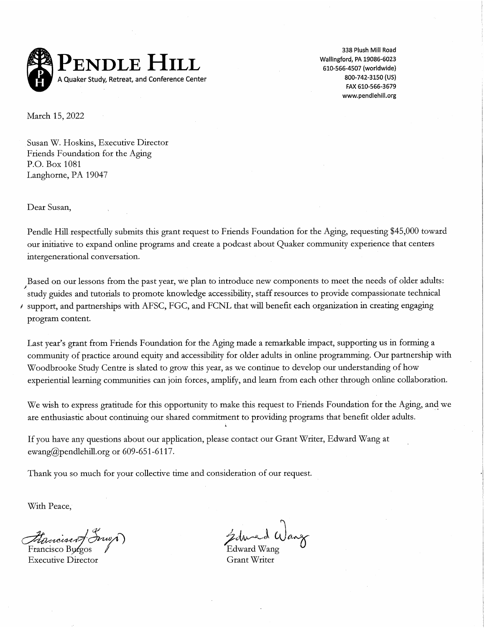

338 Plush Mill Road Wallingford, PA 19086-6023 610-566-4507 (worldwide) 800-742-3150 (US) FAX 610-566-3679 www.pendlehill.org

March 15, 2022

Susan W. Hoskins, Executive Director Friends Foundation for the Aging P.O. Box 1081 Langhorne, PA 19047

Dear Susan,

Pendle Hill respectfully submits this grant request to Friends Foundation for the Aging, requesting \$45,000 toward our initiative to expand online programs and create a podcast about Quaker community experience that centers intergenerational conversation.

Based on our lessons from the past year, we plan to introduce new components to meet the needs of older adults: study guides and tutorials to promote knowledge accessibility, staff resources to provide compassionate technical / support, and partnerships with AFSC, FGC, and FCNL that will benefit each organization in creating engaging program content.

Last year's grant from Friends Foundation for the Aging made a remarkable impact, supporting us in forming a community of practice around equity and accessibility for older adults in online programming. Our partnership with Woodbrooke Study Centre is slated to grow this year, as we continue to develop our understanding of how experiential learning communities can join forces, amplify, and learn from each other through online collaboration.

We wish to express gratitude for this opportunity to make this request to Friends Foundation for the Aging, and we are enthusiastic about continuing our shared commitment to providing programs that benefit older adults.

If you have any questions about our application, please contact our Grant Writer, Edward Wang at ewang@pendlehill.org or 609-651-6117.

Thank you so much for your collective time and consideration of our request.

With Peace,

Francisco Burgos **Executive Director** 

Edward Wang **Grant Writer**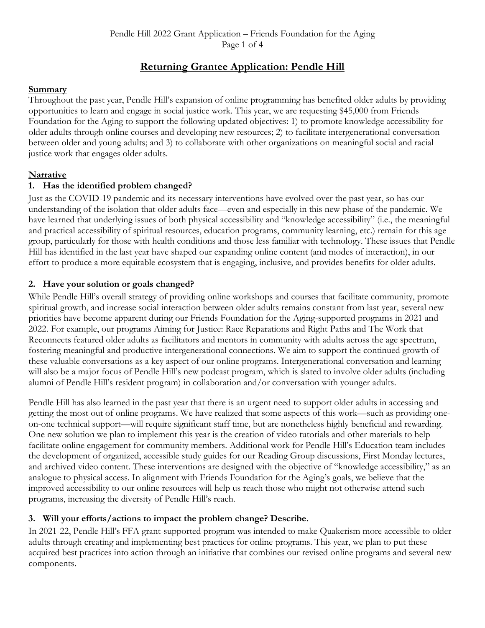Pendle Hill 2022 Grant Application – Friends Foundation for the Aging Page 1 of 4

# **Returning Grantee Application: Pendle Hill**

#### **Summary**

Throughout the past year, Pendle Hill's expansion of online programming has benefited older adults by providing opportunities to learn and engage in social justice work. This year, we are requesting \$45,000 from Friends Foundation for the Aging to support the following updated objectives: 1) to promote knowledge accessibility for older adults through online courses and developing new resources; 2) to facilitate intergenerational conversation between older and young adults; and 3) to collaborate with other organizations on meaningful social and racial justice work that engages older adults.

## **Narrative**

## **1. Has the identified problem changed?**

Just as the COVID-19 pandemic and its necessary interventions have evolved over the past year, so has our understanding of the isolation that older adults face—even and especially in this new phase of the pandemic. We have learned that underlying issues of both physical accessibility and "knowledge accessibility" (i.e., the meaningful and practical accessibility of spiritual resources, education programs, community learning, etc.) remain for this age group, particularly for those with health conditions and those less familiar with technology. These issues that Pendle Hill has identified in the last year have shaped our expanding online content (and modes of interaction), in our effort to produce a more equitable ecosystem that is engaging, inclusive, and provides benefits for older adults.

## **2. Have your solution or goals changed?**

While Pendle Hill's overall strategy of providing online workshops and courses that facilitate community, promote spiritual growth, and increase social interaction between older adults remains constant from last year, several new priorities have become apparent during our Friends Foundation for the Aging-supported programs in 2021 and 2022. For example, our programs Aiming for Justice: Race Reparations and Right Paths and The Work that Reconnects featured older adults as facilitators and mentors in community with adults across the age spectrum, fostering meaningful and productive intergenerational connections. We aim to support the continued growth of these valuable conversations as a key aspect of our online programs. Intergenerational conversation and learning will also be a major focus of Pendle Hill's new podcast program, which is slated to involve older adults (including alumni of Pendle Hill's resident program) in collaboration and/or conversation with younger adults.

Pendle Hill has also learned in the past year that there is an urgent need to support older adults in accessing and getting the most out of online programs. We have realized that some aspects of this work—such as providing oneon-one technical support—will require significant staff time, but are nonetheless highly beneficial and rewarding. One new solution we plan to implement this year is the creation of video tutorials and other materials to help facilitate online engagement for community members. Additional work for Pendle Hill's Education team includes the development of organized, accessible study guides for our Reading Group discussions, First Monday lectures, and archived video content. These interventions are designed with the objective of "knowledge accessibility," as an analogue to physical access. In alignment with Friends Foundation for the Aging's goals, we believe that the improved accessibility to our online resources will help us reach those who might not otherwise attend such programs, increasing the diversity of Pendle Hill's reach.

## **3. Will your efforts/actions to impact the problem change? Describe.**

In 2021-22, Pendle Hill's FFA grant-supported program was intended to make Quakerism more accessible to older adults through creating and implementing best practices for online programs. This year, we plan to put these acquired best practices into action through an initiative that combines our revised online programs and several new components.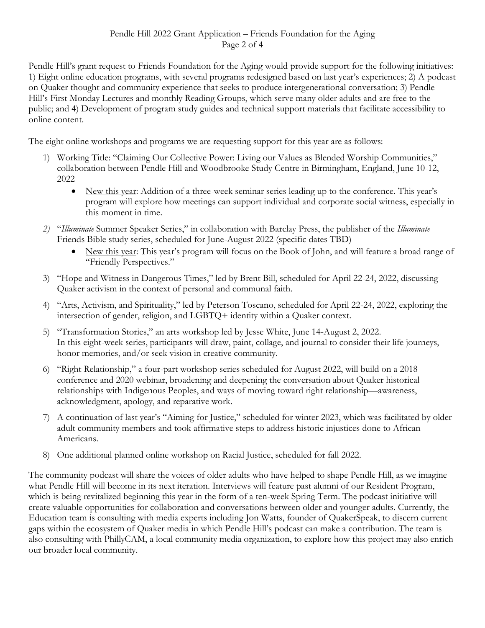Pendle Hill's grant request to Friends Foundation for the Aging would provide support for the following initiatives: 1) Eight online education programs, with several programs redesigned based on last year's experiences; 2) A podcast on Quaker thought and community experience that seeks to produce intergenerational conversation; 3) Pendle Hill's First Monday Lectures and monthly Reading Groups, which serve many older adults and are free to the public; and 4) Development of program study guides and technical support materials that facilitate accessibility to online content.

The eight online workshops and programs we are requesting support for this year are as follows:

- 1) Working Title: "Claiming Our Collective Power: Living our Values as Blended Worship Communities," collaboration between Pendle Hill and Woodbrooke Study Centre in Birmingham, England, June 10-12, 2022
	- New this year: Addition of a three-week seminar series leading up to the conference. This year's program will explore how meetings can support individual and corporate social witness, especially in this moment in time.
- *2)* "*Illuminate* Summer Speaker Series," in collaboration with Barclay Press, the publisher of the *Illuminate*  Friends Bible study series, scheduled for June-August 2022 (specific dates TBD)
	- New this year: This year's program will focus on the Book of John, and will feature a broad range of "Friendly Perspectives."
- 3) "Hope and Witness in Dangerous Times," led by Brent Bill, scheduled for April 22-24, 2022, discussing Quaker activism in the context of personal and communal faith.
- 4) "Arts, Activism, and Spirituality," led by Peterson Toscano, scheduled for April 22-24, 2022, exploring the intersection of gender, religion, and LGBTQ+ identity within a Quaker context.
- 5) "Transformation Stories," an arts workshop led by Jesse White, June 14-August 2, 2022. In this eight-week series, participants will draw, paint, collage, and journal to consider their life journeys, honor memories, and/or seek vision in creative community.
- 6) "Right Relationship," a four-part workshop series scheduled for August 2022, will build on a 2018 conference and 2020 webinar, broadening and deepening the conversation about Quaker historical relationships with Indigenous Peoples, and ways of moving toward right relationship—awareness, acknowledgment, apology, and reparative work.
- 7) A continuation of last year's "Aiming for Justice," scheduled for winter 2023, which was facilitated by older adult community members and took affirmative steps to address historic injustices done to African Americans.
- 8) One additional planned online workshop on Racial Justice, scheduled for fall 2022.

The community podcast will share the voices of older adults who have helped to shape Pendle Hill, as we imagine what Pendle Hill will become in its next iteration. Interviews will feature past alumni of our Resident Program, which is being revitalized beginning this year in the form of a ten-week Spring Term. The podcast initiative will create valuable opportunities for collaboration and conversations between older and younger adults. Currently, the Education team is consulting with media experts including Jon Watts, founder of QuakerSpeak, to discern current gaps within the ecosystem of Quaker media in which Pendle Hill's podcast can make a contribution. The team is also consulting with PhillyCAM, a local community media organization, to explore how this project may also enrich our broader local community.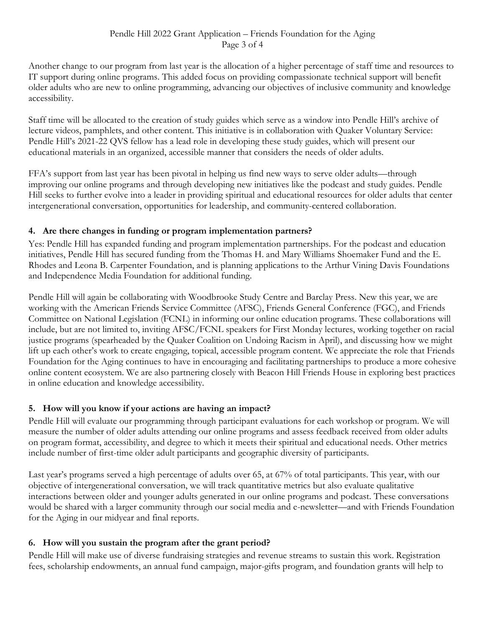Another change to our program from last year is the allocation of a higher percentage of staff time and resources to IT support during online programs. This added focus on providing compassionate technical support will benefit older adults who are new to online programming, advancing our objectives of inclusive community and knowledge accessibility.

Staff time will be allocated to the creation of study guides which serve as a window into Pendle Hill's archive of lecture videos, pamphlets, and other content. This initiative is in collaboration with Quaker Voluntary Service: Pendle Hill's 2021-22 QVS fellow has a lead role in developing these study guides, which will present our educational materials in an organized, accessible manner that considers the needs of older adults.

FFA's support from last year has been pivotal in helping us find new ways to serve older adults—through improving our online programs and through developing new initiatives like the podcast and study guides. Pendle Hill seeks to further evolve into a leader in providing spiritual and educational resources for older adults that center intergenerational conversation, opportunities for leadership, and community-centered collaboration.

#### **4. Are there changes in funding or program implementation partners?**

Yes: Pendle Hill has expanded funding and program implementation partnerships. For the podcast and education initiatives, Pendle Hill has secured funding from the Thomas H. and Mary Williams Shoemaker Fund and the E. Rhodes and Leona B. Carpenter Foundation, and is planning applications to the Arthur Vining Davis Foundations and Independence Media Foundation for additional funding.

Pendle Hill will again be collaborating with Woodbrooke Study Centre and Barclay Press. New this year, we are working with the American Friends Service Committee (AFSC), Friends General Conference (FGC), and Friends Committee on National Legislation (FCNL) in informing our online education programs. These collaborations will include, but are not limited to, inviting AFSC/FCNL speakers for First Monday lectures, working together on racial justice programs (spearheaded by the Quaker Coalition on Undoing Racism in April), and discussing how we might lift up each other's work to create engaging, topical, accessible program content. We appreciate the role that Friends Foundation for the Aging continues to have in encouraging and facilitating partnerships to produce a more cohesive online content ecosystem. We are also partnering closely with Beacon Hill Friends House in exploring best practices in online education and knowledge accessibility.

## **5. How will you know if your actions are having an impact?**

Pendle Hill will evaluate our programming through participant evaluations for each workshop or program. We will measure the number of older adults attending our online programs and assess feedback received from older adults on program format, accessibility, and degree to which it meets their spiritual and educational needs. Other metrics include number of first-time older adult participants and geographic diversity of participants.

Last year's programs served a high percentage of adults over 65, at 67% of total participants. This year, with our objective of intergenerational conversation, we will track quantitative metrics but also evaluate qualitative interactions between older and younger adults generated in our online programs and podcast. These conversations would be shared with a larger community through our social media and e-newsletter—and with Friends Foundation for the Aging in our midyear and final reports.

## **6. How will you sustain the program after the grant period?**

Pendle Hill will make use of diverse fundraising strategies and revenue streams to sustain this work. Registration fees, scholarship endowments, an annual fund campaign, major-gifts program, and foundation grants will help to